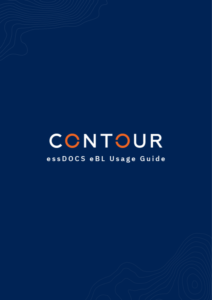# CONTOUR

# essDOCS eBL Usage Guide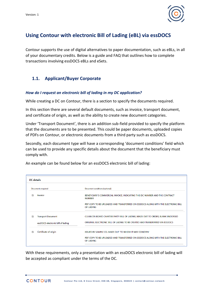

# **Using Contour with electronic Bill of Lading (eBL) via essDOCS**

Contour supports the use of digital alternatives to paper documentation, such as eBLs, in all of your documentary credits. Below is a guide and FAQ that outlines how to complete transactions involving essDOCS eBLs and eSets.

### **1.1. Applicant/Buyer Corporate**

#### *How do I request an electronic bill of lading in my DC application?*

While creating a DC on Contour, there is a section to specify the documents required.

In this section there are several default documents, such as invoice, transport document, and certificate of origin, as well as the ability to create new document categories.

Under 'Transport Document', there is an addition sub-field provided to specify the platform that the documents are to be presented. This could be paper documents, uploaded copies of PDFs on Contour, or electronic documents from a third party such as essDOCS.

Secondly, each document type will have a corresponding 'document conditions' field which can be used to provide any specific details about the document that the beneficiary must comply with.

An example can be found below for an essDOCS electronic bill of lading:

| <b>DC</b> details                 |                                                                                                       |  |  |  |
|-----------------------------------|-------------------------------------------------------------------------------------------------------|--|--|--|
|                                   |                                                                                                       |  |  |  |
| <b>Documents required</b>         | Document conditions (optional)                                                                        |  |  |  |
| Invoice                           | BENEFICIARY'S COMMERCIAL INVOICE, INDICATING THIS DC NUMBER AND THE CONTRACT<br><b>NUMBER</b>         |  |  |  |
|                                   | PDF COPY TO BE UPLOADED AND TRANSFERRED ON ESSDOCS ALONG WITH THE ELECTRONIC BILL<br><b>OF LADING</b> |  |  |  |
| <b>Transport Document</b>         | CLEAN ON BOARD CHARTER PARTY BILL OF LADING, MADE OUT TO ORDER, BLANK ENDORSED                        |  |  |  |
| essDOCS electronic bill of lading | ORIGINAL ELECTRONIC BILL OF LADING TO BE CREATED AND TRANSFERRED VIA ESSDOCS                          |  |  |  |
| Certificate of origin             | ISSUED BY SAMPLE CO. MADE OUT 'TO WHOM IT MAY CONCERN'                                                |  |  |  |
|                                   | PDF COPY TO BE UPLOADED AND TRANSFERRED ON ESSDOCS ALONG WITH THE ELECTRONIC BILL<br><b>OF LADING</b> |  |  |  |

With these requirements, only a presentation with an essDOCS electronic bill of lading will be accepted as compliant under the terms of the DC.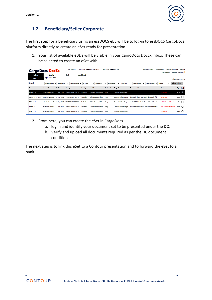

## **1.2. Beneficiary/Seller Corporate**

The first step for a beneficiary using an essDOCS eBL will be to log-in to essDOCS CargoDocs platform directly to create an eSet ready for presentation.

1. Your list of available eBL's will be visible in your CargoDocs DocEx inbox. These can be selected to create an eSet with.

| <b>CargoDocs DocEx</b>       |                              |                |                                               |                 | <b>Welcome CONTOUR EXPORTER TEST</b> | <b>CONTOUR EXPORTER</b> |                               |                                             | Network Search   User Settings   Change Password   Logout<br>User Guides   Contact essDOCS |                      |
|------------------------------|------------------------------|----------------|-----------------------------------------------|-----------------|--------------------------------------|-------------------------|-------------------------------|---------------------------------------------|--------------------------------------------------------------------------------------------|----------------------|
| <b>Inbox</b><br><b>DocEx</b> | <b>Drafts</b><br>Create mSet |                | Filed                                         | <b>Archived</b> |                                      |                         |                               |                                             |                                                                                            | All times are in UTC |
| Search                       | Shipment $Re \vee$           | Reference      | Vessel Name V<br>$\check{ }$                  | <b>BL</b> Date  | <b>Consignor</b><br>$\check{ }$      | <b>Consignee</b>        | <b>Load Port</b>              | Cargo Name V<br>Destination<br>$\checkmark$ | $\check{ }$<br><b>Status</b>                                                               | <b>Clear Filter</b>  |
| <b>Reference</b>             | <b>Vessel Name</b>           | <b>BL</b> Date | <b>Consignor</b>                              |                 | <b>Consignee</b> Load Port           |                         | <b>Destination</b> Cargo Name | <b>Document No.</b>                         | <b>Status</b>                                                                              | Type <b>T</b>        |
| $10000 - S-1$                |                              |                | zCarrier4Vessel1 17 Aug 2020 VOLTRON EXPORTER | To Order        | Caleta Coloso, Chile Vizag           |                         | <b>Generic Bulker Cargo</b>   |                                             | <b>Title Held</b>                                                                          | eSet $\checkmark$    |
| 23000 - S-1 - Copy           |                              |                | zCarrier4Vessel1 17 Aug 2020 VOLTRON EXPORTER | <b>To Order</b> | Caleta Coloso, Chile                 | Vizag                   | <b>Generic Bulker Cargo</b>   | d38c00f0-df09-45a9-852b-d34279f54fcb        | <b>Returned</b>                                                                            | est                  |
| $4000 - S-1$                 |                              |                | zCarrier4Vessel1 17 Aug 2020 VOLTRON EXPORTER | To Order        | Caleta Coloso, Chile Vizag           |                         | <b>Generic Bulker Cargo</b>   | bb404809-fafc-4a66-9bba-495ce3c2dc29        | eUCP Present Drafted                                                                       | $est \Box$           |
| $12000 - S-1$                |                              |                | zCarrier4Vessel1 17 Aug 2020 VOLTRON EXPORTER | <b>To Order</b> | Caleta Coloso, Chile Vizag           |                         | <b>Generic Bulker Cargo</b>   | 48e28bb0-852e-43d1-afdf-5dca8df51413        | eUCP Present Drafted                                                                       | eSet                 |
| $6000 - S-1$                 |                              |                | zCarrier4Vessel1 17 Aug 2020 VOLTRON EXPORTER | <b>To Order</b> | Caleta Coloso, Chile                 | Vizag                   | <b>Generic Bulker Cargo</b>   |                                             | <b>Title Held</b>                                                                          | est                  |

- 2. From here, you can create the eSet in CargoDocs
	- a. log in and identify your document set to be presented under the DC.
	- b. Verify and upload all documents required as per the DC document conditions.

The next step is to link this eSet to a Contour presentation and to forward the eSet to a bank.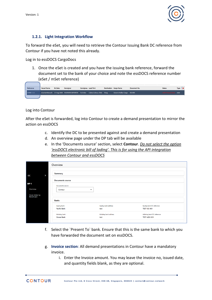

#### **1.2.1. Light Integration Workflow**

To forward the eSet, you will need to retrieve the Contour Issuing Bank DC reference from Contour if you have not noted this already.

Log in to essDOCS CargoDocs

1. Once the eSet is created and you have the issuing bank reference, forward the document set to the bank of your choice and note the essDOCS reference number (eSet / mSet reference)

| Reference     | <b>Vessel Name</b> | <b>BL</b> Date | Consignor                                                                         | Consignee Load Port | <b>Destination</b> Cargo Name | Document No. | <b>Status</b>          | Type L |
|---------------|--------------------|----------------|-----------------------------------------------------------------------------------|---------------------|-------------------------------|--------------|------------------------|--------|
| $11000 - S-1$ |                    |                | zCarrier4Vessel1 17 Aug 2020 VOLTRON EXPORTER To Order Caleta Coloso, Chile Vizag |                     | Generic Bulker Cargo ISS-005  |              | eUCP Present Sent eSet |        |
|               |                    |                |                                                                                   |                     |                               |              |                        |        |

Log into Contour

After the eSet is forwarded, log into Contour to create a demand presentation to mirror the action on essDOCS

- c. Identify the DC to be presented against and create a demand presentation
- d. An overview page under the DP tab will be available
- e. In the 'Documents source' section, select **Contour**. *Do not select the option 'essDOCS electronic bill of lading'. This is for using the API integration between Contour and essDOCS*

|                                | Overview                |                          |                            |  |
|--------------------------------|-------------------------|--------------------------|----------------------------|--|
| DC<br>۰                        | <b>Summary</b>          |                          |                            |  |
|                                | <b>Documents source</b> |                          |                            |  |
| DP 1                           | <b>Documents source</b> |                          |                            |  |
| Overview                       | Contour                 | $\overline{\phantom{a}}$ |                            |  |
| Cover letter by<br>Beneficiary |                         |                          |                            |  |
|                                | <b>Banks</b>            |                          |                            |  |
|                                | <b>Issuing bank</b>     | Issuing bank address     | Issuing bank DC reference  |  |
|                                | <b>Pacific Bank</b>     | test                     | <b>TEST-ISS-001</b>        |  |
|                                | Advising bank           | Advising bank address    | Advising bank DC reference |  |
|                                | Ocean Bank              | test                     | TEST-ADV-001               |  |

- f. Select the `Present To` bank. Ensure that this is the same bank to which you have forwarded the document set on essDOCS.
- g. **Invoice section**: All demand presentations in Contour have a mandatory invoice.
	- i. Enter the Invoice amount. You may leave the invoice no, issued date, and quantity fields blank, as they are optional.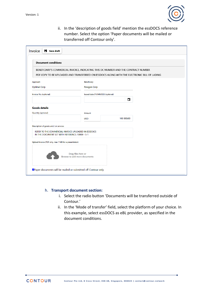

ii. In the 'description of goods field' mention the essDOCS reference number. Select the option 'Paper documents will be mailed or transferred off Contour only'.

| <b>Document conditions</b>                                                                             |                                   |                                                                                             |  |  |  |  |
|--------------------------------------------------------------------------------------------------------|-----------------------------------|---------------------------------------------------------------------------------------------|--|--|--|--|
| BENEFICIARY'S COMMERCIAL INVOICE, INDICATING THIS DC NUMBER AND THE CONTRACT NUMBER                    |                                   |                                                                                             |  |  |  |  |
|                                                                                                        |                                   | PDF COPY TO BE UPLOADED AND TRANSFERRED ON ESSDOCS ALONG WITH THE ELECTRONIC BILL OF LADING |  |  |  |  |
| Applicant                                                                                              | Beneficiary                       |                                                                                             |  |  |  |  |
| <b>Optimal Corp</b>                                                                                    | Paragon Corp                      |                                                                                             |  |  |  |  |
| Invoice No. (optional)                                                                                 | Issued date (YY/MM/DD) (optional) |                                                                                             |  |  |  |  |
|                                                                                                        |                                   | ▭                                                                                           |  |  |  |  |
| <b>Goods details</b>                                                                                   |                                   |                                                                                             |  |  |  |  |
| Quantity (optional)                                                                                    | Amount                            |                                                                                             |  |  |  |  |
|                                                                                                        | <b>USD</b>                        | 100 000.00                                                                                  |  |  |  |  |
| Description of goods and / or services                                                                 |                                   |                                                                                             |  |  |  |  |
| REFER TO THE COMMERCIAL INVOICE UPLOADED IN ESSDOCS<br>IN THE DOCUMENT SET WITH REFERENCE: 10000 - S-1 |                                   |                                                                                             |  |  |  |  |
| Upload Invoice (PDF only, max 7 MB for a presentation)                                                 |                                   |                                                                                             |  |  |  |  |
|                                                                                                        |                                   |                                                                                             |  |  |  |  |

#### h. **Transport document section:**

- i. Select the radio button 'Documents will be transferred outside of Contour.'
- ii. In the 'Mode of transfer' field, select the platform of your choice. In this example, select essDOCS as eBL provider, as specified in the document conditions.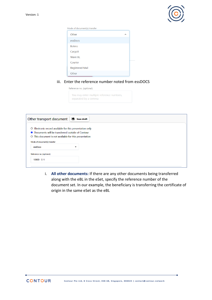

| Mode of document(s) transfer |  |  |  |  |  |
|------------------------------|--|--|--|--|--|
| Other                        |  |  |  |  |  |
| essDocs                      |  |  |  |  |  |
| <b>Bolero</b>                |  |  |  |  |  |
| CargoX                       |  |  |  |  |  |
| <b>Wave BL</b>               |  |  |  |  |  |
| Courier                      |  |  |  |  |  |
| <b>Registered Mail</b>       |  |  |  |  |  |
| Other                        |  |  |  |  |  |

#### iii. Enter the reference number noted from essDOCS

| Reference no. (optional) |  |  |
|--------------------------|--|--|

You may enter multiple reference numbers, separated by a comma

| Other transport document                                 | Н                        | <b>Save draft</b> |
|----------------------------------------------------------|--------------------------|-------------------|
| O Electronic record available for this presentation only |                          |                   |
| • Documents will be transferred outside of Contour       |                          |                   |
| ○ This document is not available for this presentation   |                          |                   |
| Mode of document(s) transfer                             |                          |                   |
| essDocs                                                  | $\overline{\phantom{a}}$ |                   |
| Reference no. (optional)                                 |                          |                   |
| $10000 - S-1$                                            |                          |                   |
|                                                          |                          |                   |

i. **All other documents:** If there are any other documents being transferred along with the eBL in the eSet, specify the reference number of the document set. In our example, the beneficiary is transferring the certificate of origin in the same eSet as the eBL